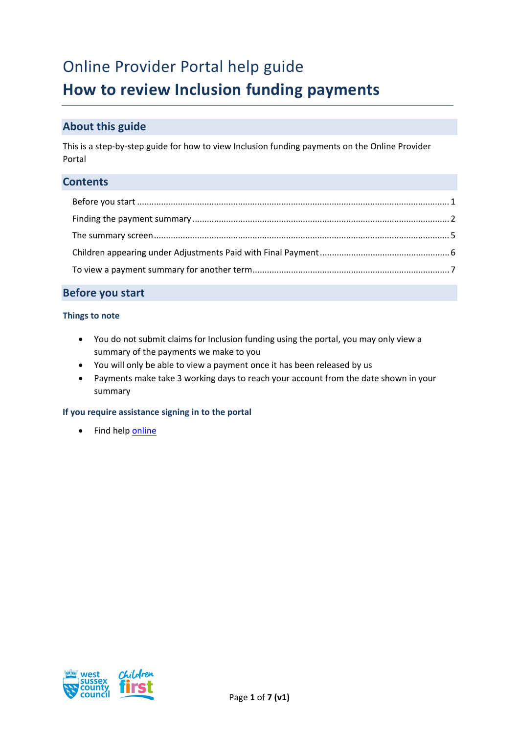# Online Provider Portal help guide

## **How to review Inclusion funding payments**

## **About this guide**

This is a step-by-step guide for how to view Inclusion funding payments on the Online Provider Portal

#### <span id="page-0-0"></span>**Contents**

### **Before you start**

#### **Things to note**

- You do not submit claims for Inclusion funding using the portal, you may only view a summary of the payments we make to you
- You will only be able to view a payment once it has been released by us
- Payments make take 3 working days to reach your account from the date shown in your summary

#### **If you require assistance signing in to the portal**

• Find hel[p online](https://www.westsussex.gov.uk/ecsportal)

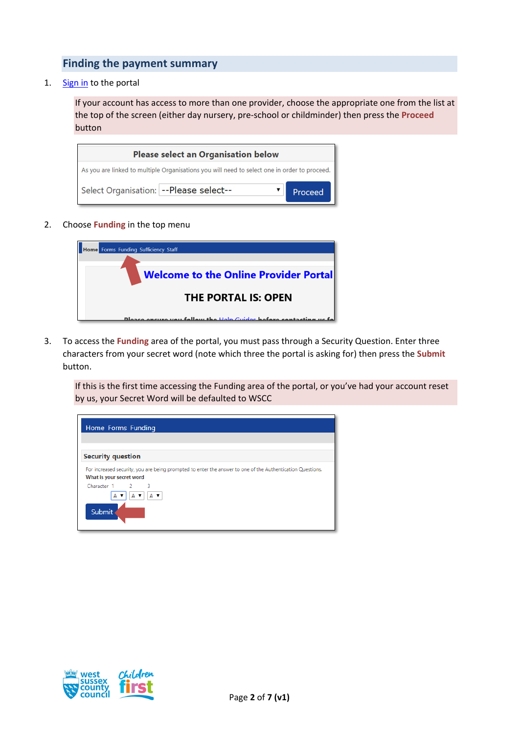## <span id="page-1-0"></span>**Finding the payment summary**

1. [Sign in](https://familyinfoservice.westsussex.gov.uk/SynergyWeb/login.aspx) to the portal

If your account has access to more than one provider, choose the appropriate one from the list at the top of the screen (either day nursery, pre-school or childminder) then press the **Proceed** button

| <b>Please select an Organisation below</b>                                                   |         |  |  |  |
|----------------------------------------------------------------------------------------------|---------|--|--|--|
| As you are linked to multiple Organisations you will need to select one in order to proceed. |         |  |  |  |
| Select Organisation: -- Please select--                                                      | Proceed |  |  |  |

2. Choose **Funding** in the top menu

| <b>Home</b> Forms Funding Sufficiency Staff                       |
|-------------------------------------------------------------------|
|                                                                   |
| <b>Welcome to the Online Provider Portal</b>                      |
|                                                                   |
| <b>THE PORTAL IS: OPEN</b>                                        |
| Please ensure you follow the Help Guides before contacting us for |

3. To access the **Funding** area of the portal, you must pass through a Security Question. Enter three characters from your secret word (note which three the portal is asking for) then press the **Submit** button.

If this is the first time accessing the Funding area of the portal, or you've had your account reset by us, your Secret Word will be defaulted to WSCC

| Home Forms Funding                                                                                                                     |  |
|----------------------------------------------------------------------------------------------------------------------------------------|--|
| <b>Security question</b>                                                                                                               |  |
| For increased security, you are being prompted to enter the answer to one of the Authentication Questions.<br>What is your secret word |  |
| Character 1 2 3<br>A v<br>A T<br>A Y                                                                                                   |  |
| Submit                                                                                                                                 |  |

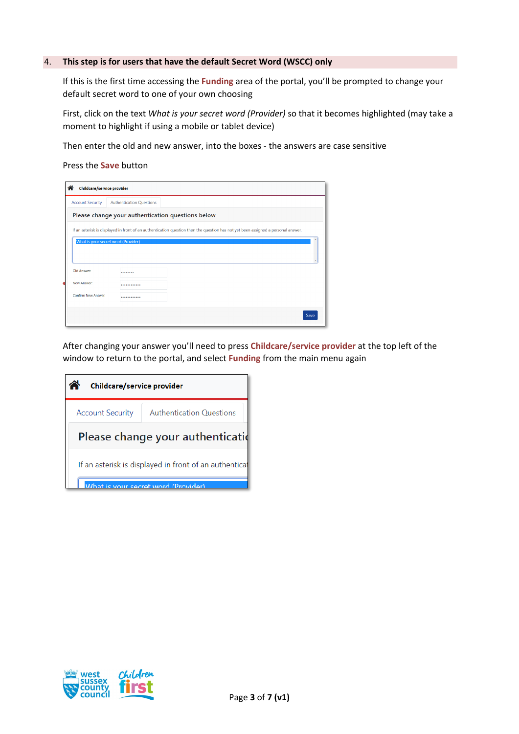#### 4. **This step is for users that have the default Secret Word (WSCC) only**

If this is the first time accessing the **Funding** area of the portal, you'll be prompted to change your default secret word to one of your own choosing

First, click on the text *What is your secret word (Provider)* so that it becomes highlighted (may take a moment to highlight if using a mobile or tablet device)

Then enter the old and new answer, into the boxes - the answers are case sensitive

Press the **Save** button

| <b>Account Security</b>    | <b>Authentication Questions</b>     |                                                                                                                                   |  |  |  |
|----------------------------|-------------------------------------|-----------------------------------------------------------------------------------------------------------------------------------|--|--|--|
|                            |                                     | Please change your authentication questions below                                                                                 |  |  |  |
|                            |                                     | If an asterisk is displayed in front of an authentication question then the question has not yet been assigned a personal answer. |  |  |  |
|                            |                                     |                                                                                                                                   |  |  |  |
|                            |                                     |                                                                                                                                   |  |  |  |
|                            | What is your secret word (Provider) |                                                                                                                                   |  |  |  |
|                            |                                     |                                                                                                                                   |  |  |  |
|                            |                                     |                                                                                                                                   |  |  |  |
| Old Answer:<br>New Answer: |                                     |                                                                                                                                   |  |  |  |
| Confirm New Answer:        |                                     |                                                                                                                                   |  |  |  |

After changing your answer you'll need to press **Childcare/service provider** at the top left of the window to return to the portal, and select **Funding** from the main menu again

| Childcare/service provider                                 |                                     |  |  |  |  |
|------------------------------------------------------------|-------------------------------------|--|--|--|--|
| <b>Authentication Questions</b><br><b>Account Security</b> |                                     |  |  |  |  |
| Please change your authentication                          |                                     |  |  |  |  |
| If an asterisk is displayed in front of an authenticat     |                                     |  |  |  |  |
|                                                            | What is your secret word (Provider) |  |  |  |  |

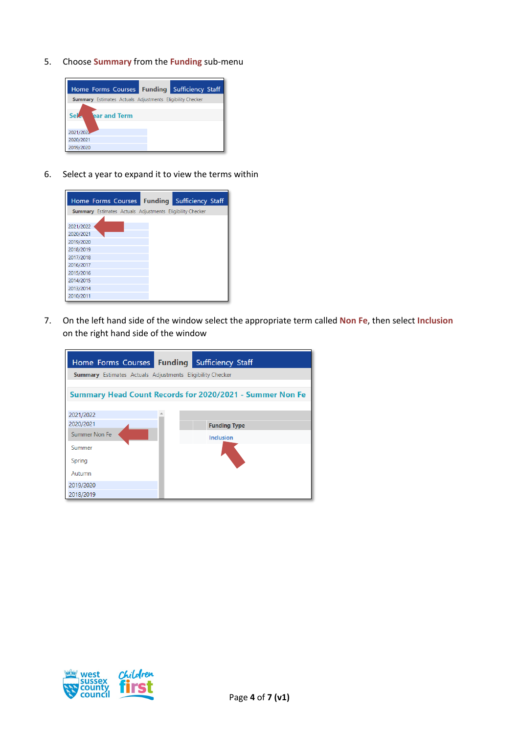5. Choose **Summary** from the **Funding** sub-menu



6. Select a year to expand it to view the terms within

|           |  | Home Forms Courses Funding Sufficiency Staff                     |  |
|-----------|--|------------------------------------------------------------------|--|
|           |  | <b>Summary</b> Estimates Actuals Adjustments Eligibility Checker |  |
|           |  |                                                                  |  |
| 2021/2022 |  |                                                                  |  |
| 2020/2021 |  |                                                                  |  |
| 2019/2020 |  |                                                                  |  |
| 2018/2019 |  |                                                                  |  |
| 2017/2018 |  |                                                                  |  |
| 2016/2017 |  |                                                                  |  |
| 2015/2016 |  |                                                                  |  |
| 2014/2015 |  |                                                                  |  |
| 2013/2014 |  |                                                                  |  |
| 2010/2011 |  |                                                                  |  |

7. On the left hand side of the window select the appropriate term called **Non Fe**, then select **Inclusion** on the right hand side of the window



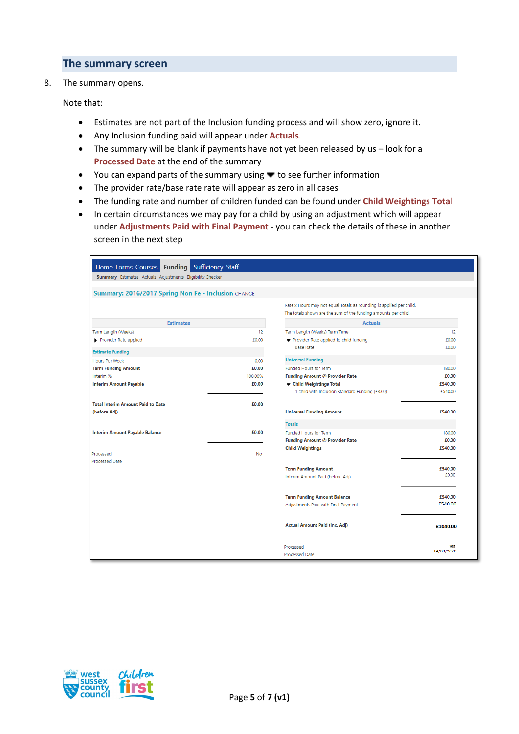#### <span id="page-4-0"></span>**The summary screen**

8. The summary opens.

Note that:

- Estimates are not part of the Inclusion funding process and will show zero, ignore it.
- Any Inclusion funding paid will appear under **Actuals**.
- The summary will be blank if payments have not yet been released by us look for a **Processed Date** at the end of the summary
- You can expand parts of the summary using  $\blacktriangledown$  to see further information
- The provider rate/base rate rate will appear as zero in all cases
- The funding rate and number of children funded can be found under **Child Weightings Total**
- In certain circumstances we may pay for a child by using an adjustment which will appear under **Adjustments Paid with Final Payment** - you can check the details of these in another screen in the next step

| Home Forms Courses Funding Sufficiency Staff                     |               |                                                                                                                                       |                      |  |  |
|------------------------------------------------------------------|---------------|---------------------------------------------------------------------------------------------------------------------------------------|----------------------|--|--|
| <b>Summary</b> Estimates Actuals Adjustments Eligibility Checker |               |                                                                                                                                       |                      |  |  |
| Summary: 2016/2017 Spring Non Fe - Inclusion CHANGE              |               |                                                                                                                                       |                      |  |  |
|                                                                  |               | Rate x Hours may not equal Totals as rounding is applied per child.<br>The totals shown are the sum of the funding amounts per child. |                      |  |  |
| <b>Estimates</b>                                                 |               | <b>Actuals</b>                                                                                                                        |                      |  |  |
| Term Length (Weeks)<br>Provider Rate applied                     | 12<br>£0.00   | Term Length (Weeks) Term Time<br>Provider Rate applied to child funding<br><b>Base Rate</b>                                           | 12<br>£0.00<br>£0.00 |  |  |
| <b>Estimate Funding</b>                                          |               | <b>Universal Funding</b>                                                                                                              |                      |  |  |
| Hours Per Week<br><b>Term Funding Amount</b>                     | 0.00<br>£0.00 | Funded Hours for Term                                                                                                                 | 180.00               |  |  |
| Interim %                                                        | 100.00%       | <b>Funding Amount @ Provider Rate</b>                                                                                                 | £0.00                |  |  |
| <b>Interim Amount Payable</b>                                    | £0.00         | ▼ Child Weightings Total<br>1 child with Inclusion Standard Funding (£3.00)                                                           | £540.00<br>£540.00   |  |  |
| <b>Total Interim Amount Paid to Date</b><br>(before Adj)         | £0.00         | <b>Universal Funding Amount</b>                                                                                                       | £540.00              |  |  |
|                                                                  |               | <b>Totals</b>                                                                                                                         |                      |  |  |
| <b>Interim Amount Payable Balance</b>                            | £0.00         | <b>Funded Hours for Term</b>                                                                                                          | 180.00               |  |  |
|                                                                  |               | <b>Funding Amount @ Provider Rate</b>                                                                                                 | £0.00                |  |  |
| Processed<br><b>Processed Date</b>                               | No            | <b>Child Weightings</b>                                                                                                               | £540.00              |  |  |
|                                                                  |               | <b>Term Funding Amount</b><br>Interim Amount Paid (before Adj)                                                                        | £540.00<br>£0.00     |  |  |
|                                                                  |               | <b>Term Funding Amount Balance</b><br>Adjustments Paid with Final Payment                                                             | £540.00<br>£540.00   |  |  |
|                                                                  |               | Actual Amount Paid (Inc. Adj)                                                                                                         | £1040.00             |  |  |
|                                                                  |               | Processed<br>Processed Date                                                                                                           | Yes<br>14/09/2020    |  |  |

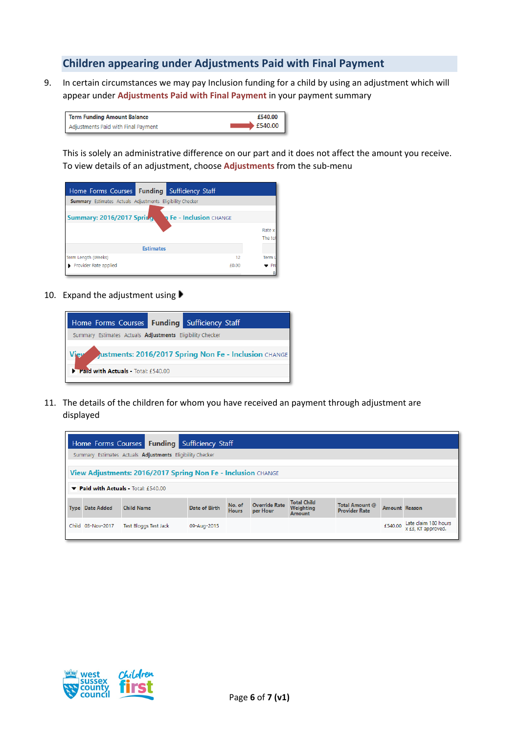## <span id="page-5-0"></span>**Children appearing under Adjustments Paid with Final Payment**

9. In certain circumstances we may pay Inclusion funding for a child by using an adjustment which will appear under **Adjustments Paid with Final Payment** in your payment summary

| <b>Term Funding Amount Balance</b>  | £540.00 |
|-------------------------------------|---------|
| Adjustments Paid with Final Payment | £540.00 |

This is solely an administrative difference on our part and it does not affect the amount you receive. To view details of an adjustment, choose **Adjustments** from the sub-menu

| Home Forms Courses <b>Funding</b> Sufficiency Staff              |                  |                                |                  |
|------------------------------------------------------------------|------------------|--------------------------------|------------------|
| <b>Summary</b> Estimates Actuals Adjustments Eligibility Checker |                  |                                |                  |
| Summary: 2016/2017 Spring                                        |                  | <b>n Fe - Inclusion</b> CHANGE | Rate x<br>The to |
|                                                                  | <b>Estimates</b> |                                |                  |
| Term Lenath (Weeks)                                              |                  | 12                             | <b>Term</b>      |
| Provider Rate applied                                            |                  | £0.00                          | Pr               |
|                                                                  |                  |                                |                  |

10. Expand the adjustment using



11. The details of the children for whom you have received an payment through adjustment are displayed

| Home Forms Courses Funding Sufficiency Staff                                                                                                                                                                                       |                                    |             |  |  |  |  |         |                                            |
|------------------------------------------------------------------------------------------------------------------------------------------------------------------------------------------------------------------------------------|------------------------------------|-------------|--|--|--|--|---------|--------------------------------------------|
| Summary Estimates Actuals <b>Adjustments</b> Eligibility Checker                                                                                                                                                                   |                                    |             |  |  |  |  |         |                                            |
| View Adjustments: 2016/2017 Spring Non Fe - Inclusion CHANGE                                                                                                                                                                       |                                    |             |  |  |  |  |         |                                            |
|                                                                                                                                                                                                                                    | Paid with Actuals - Total: £540.00 |             |  |  |  |  |         |                                            |
| <b>Total Child</b><br><b>Override Rate</b><br>No. of<br>Total Amount @<br>Date of Birth<br>Weighting<br><b>Child Name</b><br>Amount Reason<br><b>Type Date Added</b><br><b>Hours</b><br><b>Provider Rate</b><br>per Hour<br>Amount |                                    |             |  |  |  |  |         |                                            |
| Child 03-Nov-2017                                                                                                                                                                                                                  | Test Bloggs Test Jack              | 09-Aug-2015 |  |  |  |  | £540.00 | Late claim 180 hours<br>x £3, KT approved. |